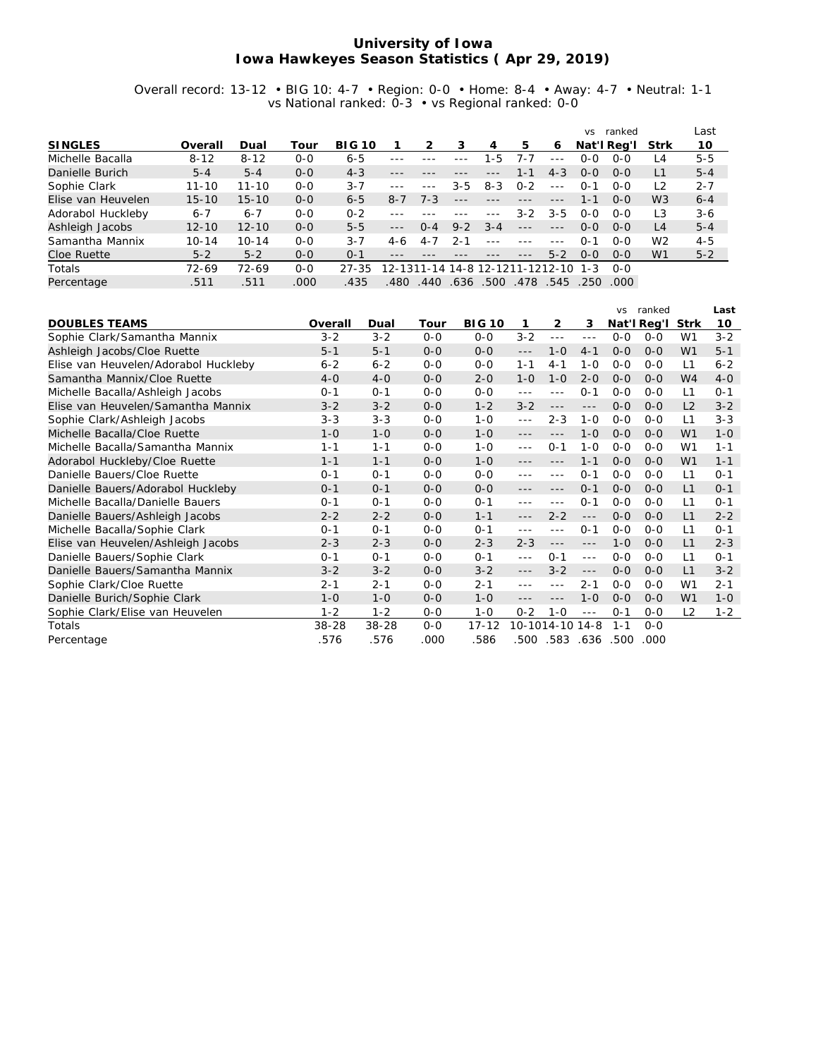#### **University of Iowa Iowa Hawkeyes Season Statistics ( Apr 29, 2019)**

#### Overall record: 13-12 • BIG 10: 4-7 • Region: 0-0 • Home: 8-4 • Away: 4-7 • Neutral: 1-1 vs National ranked: 0-3 • vs Regional ranked: 0-0

|                    |           |           |         |               |         |         |         |                                 |         |         | <b>VS</b> | ranked      |                | Last    |
|--------------------|-----------|-----------|---------|---------------|---------|---------|---------|---------------------------------|---------|---------|-----------|-------------|----------------|---------|
| <b>SINGLES</b>     | Overall   | Dual      | Tour    | <b>BIG 10</b> |         |         | З       | 4                               | 5       | 6       |           | Nat'l Reg'l | Strk           | 10      |
| Michelle Bacalla   | $8 - 12$  | $8 - 12$  | $O - O$ | $6 - 5$       |         |         |         | 1-5                             | 7-7     |         | $0 - 0$   | $0 - 0$     | L4             | $5 - 5$ |
| Danielle Burich    | $5 - 4$   | $5 - 4$   | $0 - 0$ | $4 - 3$       | $- - -$ |         |         |                                 | 1 - 1   | $4 - 3$ | $O-O$     | $O-O$       | L1             | $5 - 4$ |
| Sophie Clark       | $11 - 10$ | $11 - 10$ | $0 - 0$ | $3 - 7$       | $- - -$ |         | $3 - 5$ | $8 - 3$                         | $O - 2$ |         | $O - 1$   | $0 - 0$     | L <sub>2</sub> | $2 - 7$ |
| Elise van Heuvelen | $15 - 10$ | $15 - 10$ | $0 - 0$ | $6 - 5$       | $8 - 7$ | $7 - 3$ |         |                                 |         |         | 1 - 1     | $O-O$       | W <sub>3</sub> | $6 - 4$ |
| Adorabol Huckleby  | $6 - 7$   | $6 - 7$   | $O - O$ | $0 - 2$       |         |         |         |                                 | $3 - 2$ | $3 - 5$ | $O-O$     | $O-O$       | L3             | $3 - 6$ |
| Ashleigh Jacobs    | $12 - 10$ | $12 - 10$ | $0 - 0$ | $5 - 5$       | $- - -$ | $O - 4$ | $9 - 2$ | $3 - 4$                         |         |         | $O-O$     | $O-O$       | L4             | $5 - 4$ |
| Samantha Mannix    | $10 - 14$ | $10 - 14$ | $0 - 0$ | $3 - 7$       | $4-6$   | 4-7     | $2 - 1$ |                                 | ---     |         | $O - 1$   | $O-O$       | W <sub>2</sub> | $4 - 5$ |
| Cloe Ruette        | $5 - 2$   | $5 - 2$   | $0 - 0$ | $O - 1$       | $- - -$ |         |         |                                 |         | $5 - 2$ | $O-O$     | $O-O$       | W <sub>1</sub> | $5 - 2$ |
| Totals             | 72-69     | $72-69$   | $O-O$   | $27 - 35$     |         |         |         | 12-1311-14 14-8 12-1211-1212-10 |         |         | $1 - 3$   | $O-O$       |                |         |
| Percentage         | .511      | .511      | .000    | .435          | .480    | .440    | .636    | .500                            | .478    | .545    | .250      | .000        |                |         |

|                                      |           |         |         |               |         |                 |                      | <b>VS</b> | ranked      |                | Last    |
|--------------------------------------|-----------|---------|---------|---------------|---------|-----------------|----------------------|-----------|-------------|----------------|---------|
| <b>DOUBLES TEAMS</b>                 | Overall   | Dual    | Tour    | <b>BIG 10</b> |         | 2               | 3                    |           | Nat'l Reg'l | Strk           | 10      |
| Sophie Clark/Samantha Mannix         | $3 - 2$   | $3 - 2$ | $O-O$   | $O-O$         | $3 - 2$ | $- - -$         | $--$                 | $O - O$   | $O - O$     | W1             | $3 - 2$ |
| Ashleigh Jacobs/Cloe Ruette          | $5 - 1$   | $5 - 1$ | $O-O$   | $O - O$       | $- - -$ | $1 - 0$         | $4 - 1$              | $O-O$     | $0 - 0$     | W <sub>1</sub> | $5 - 1$ |
| Elise van Heuvelen/Adorabol Huckleby | $6 - 2$   | $6 - 2$ | $0 - 0$ | $O - O$       | $1 - 1$ | $4 - 1$         | $1 - 0$              | $0 - 0$   | $0 - 0$     | L1             | $6 - 2$ |
| Samantha Mannix/Cloe Ruette          | $4-0$     | $4-0$   | $0 - 0$ | $2 - 0$       | $1 - 0$ | $1 - 0$         | $2 - 0$              | $O - O$   | $O-O$       | W <sub>4</sub> | $4-0$   |
| Michelle Bacalla/Ashleigh Jacobs     | $O - 1$   | $O - 1$ | $0 - 0$ | $O - O$       | $- - -$ |                 | $0 - 1$              | $0 - 0$   | $0 - 0$     | L1             | $O - 1$ |
| Elise van Heuvelen/Samantha Mannix   | $3 - 2$   | $3 - 2$ | $O - O$ | $1 - 2$       | $3 - 2$ | $---$           | $---$                | $0 - 0$   | $0 - 0$     | L <sub>2</sub> | $3 - 2$ |
| Sophie Clark/Ashleigh Jacobs         | $3 - 3$   | $3 - 3$ | $0 - 0$ | $1 - 0$       | $- - -$ | $2 - 3$         | $1 - 0$              | $0 - 0$   | $0 - 0$     | L1             | $3 - 3$ |
| Michelle Bacalla/Cloe Ruette         | $1 - 0$   | $1 - 0$ | $O-O$   | $1 - 0$       | $---$   | $--$            | $1 - 0$              | $O-O$     | $0 - 0$     | W <sub>1</sub> | $1 - 0$ |
| Michelle Bacalla/Samantha Mannix     | $1 - 1$   | $1 - 1$ | $O - O$ | $1 - 0$       | $- - -$ | $0 - 1$         | $1 - 0$              | $O - O$   | $0 - 0$     | W <sub>1</sub> | $1 - 1$ |
| Adorabol Huckleby/Cloe Ruette        | $1 - 1$   | $1 - 1$ | $O-O$   | $1 - 0$       | $---$   | $- - -$         | $1 - 1$              | $O-O$     | $O-O$       | W <sub>1</sub> | $1 - 1$ |
| Danielle Bauers/Cloe Ruette          | $0 - 1$   | $0 - 1$ | $O-O$   | $O - O$       | $- - -$ | $- - -$         | $O - 1$              | $O - O$   | $0 - 0$     | L1             | $O - 1$ |
| Danielle Bauers/Adorabol Huckleby    | $O-1$     | $O - 1$ | $O-O$   | $0 - 0$       | $---$   | $---$           | $O - 1$              | $O-O$     | $0 - 0$     | L1             | $O - 1$ |
| Michelle Bacalla/Danielle Bauers     | $O - 1$   | $0 - 1$ | $0 - 0$ | $O - 1$       | $- - -$ | $- - -$         | $0 - 1$              | $O-O$     | $0 - 0$     | L1             | $O - 1$ |
| Danielle Bauers/Ashleigh Jacobs      | $2 - 2$   | $2 - 2$ | $O - O$ | $1 - 1$       | $---$   | $2 - 2$         | $---$                | $O-O$     | $O-O$       | L1             | $2 - 2$ |
| Michelle Bacalla/Sophie Clark        | $O - 1$   | $0 - 1$ | $O-O$   | $O - 1$       | $- - -$ | $- - -$         | $0 - 1$              | $0 - 0$   | $0 - 0$     | L1             | $O - 1$ |
| Elise van Heuvelen/Ashleigh Jacobs   | $2 - 3$   | $2 - 3$ | $O - O$ | $2 - 3$       | $2 - 3$ | $---$           | $---$                | $1 - 0$   | $0 - 0$     | L1             | $2 - 3$ |
| Danielle Bauers/Sophie Clark         | $0 - 1$   | $0 - 1$ | $O-O$   | $0 - 1$       | $- - -$ | $0 - 1$         | $\sim$ $\sim$ $\sim$ | $0 - 0$   | $0 - 0$     | L1             | $O - 1$ |
| Danielle Bauers/Samantha Mannix      | $3 - 2$   | $3 - 2$ | $O-O$   | $3 - 2$       | $---$   | $3 - 2$         | $---$                | $O - O$   | $0 - 0$     | L1             | $3 - 2$ |
| Sophie Clark/Cloe Ruette             | $2 - 1$   | $2 - 1$ | $O-O$   | $2 - 1$       | $- - -$ | $- - -$         | $2 - 1$              | $0 - 0$   | $O-O$       | W <sub>1</sub> | $2 - 1$ |
| Danielle Burich/Sophie Clark         | $1 - 0$   | $1 - 0$ | $O-O$   | $1 - 0$       | $---$   | $---$           | $1 - 0$              | $O - O$   | $0 - 0$     | W <sub>1</sub> | $1 - 0$ |
| Sophie Clark/Elise van Heuvelen      | $1 - 2$   | $1 - 2$ | $O-O$   | $1 - 0$       | $0 - 2$ | $1 - 0$         | $- - -$              | $0 - 1$   | $O - O$     | L2             | $1 - 2$ |
| Totals                               | $38 - 28$ | 38-28   | $O-O$   | $17 - 12$     |         | 10-1014-10 14-8 |                      | $1 - 1$   | $O - O$     |                |         |
| Percentage                           | .576      | .576    | .000    | .586          |         | .500 .583       |                      | .636 .500 | .000        |                |         |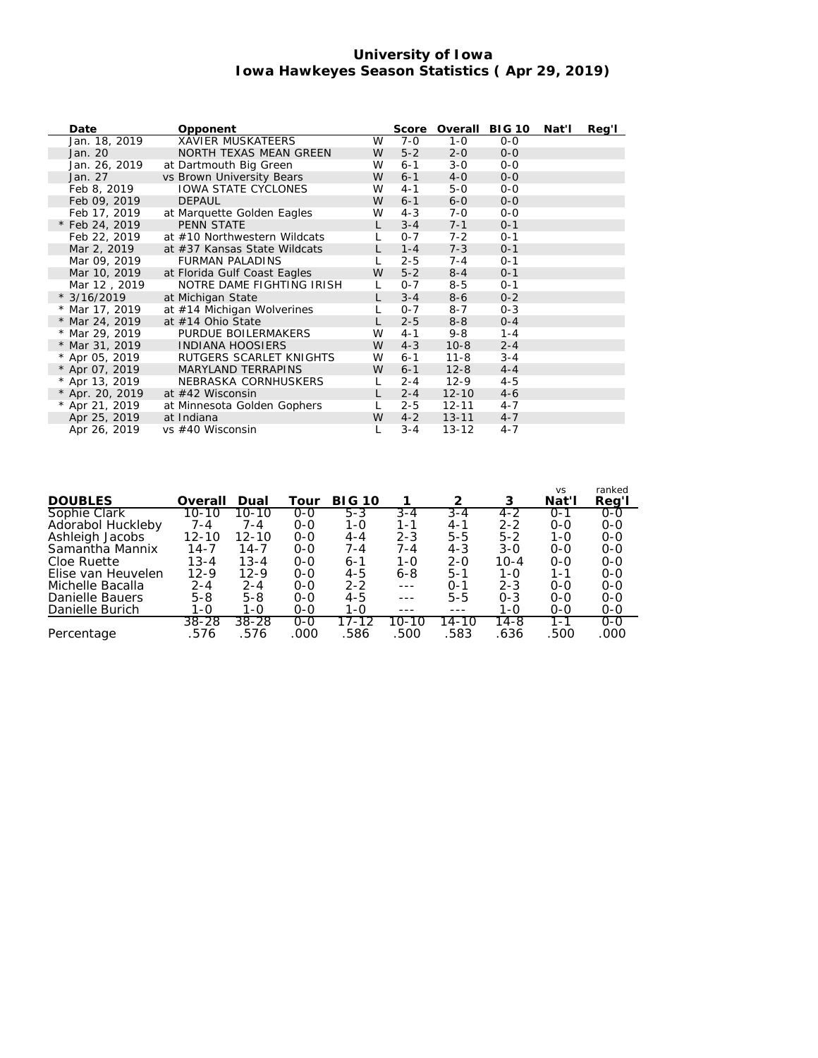#### **University of Iowa Iowa Hawkeyes Season Statistics ( Apr 29, 2019)**

| Date            | Opponent                     |    | Score   |           | Overall BIG 10 | Nat'l | Reg'l |
|-----------------|------------------------------|----|---------|-----------|----------------|-------|-------|
| Jan. 18, 2019   | XAVIER MUSKATEERS            | W  | $7 - 0$ | $1-0$     | $0 - 0$        |       |       |
| Jan. 20         | NORTH TEXAS MEAN GREEN       | W  | $5-2$   | $2 - 0$   | $O-O$          |       |       |
| Jan. 26, 2019   | at Dartmouth Big Green       | W  | $6 - 1$ | $3-0$     | $O-O$          |       |       |
| Jan. 27         | vs Brown University Bears    | W  | $6 - 1$ | $4-0$     | $0 - 0$        |       |       |
| Feb 8, 2019     | <b>IOWA STATE CYCLONES</b>   | W  | $4 - 1$ | $5-0$     | $0 - 0$        |       |       |
| Feb 09, 2019    | <b>DEPAUL</b>                | W  | $6 - 1$ | $6-0$     | $O-O$          |       |       |
| Feb 17, 2019    | at Marquette Golden Eagles   | W  | $4 - 3$ | $7-0$     | $0 - 0$        |       |       |
| * Feb 24, 2019  | PENN STATE                   | L  | $3 - 4$ | $7 - 1$   | $O - 1$        |       |       |
| Feb 22, 2019    | at #10 Northwestern Wildcats | L  | $O - 7$ | $7 - 2$   | $0 - 1$        |       |       |
| Mar 2, 2019     | at #37 Kansas State Wildcats | L. | $1 - 4$ | $7 - 3$   | $0 - 1$        |       |       |
| Mar 09, 2019    | FURMAN PALADINS              | L  | $2 - 5$ | $7 - 4$   | $0 - 1$        |       |       |
| Mar 10, 2019    | at Florida Gulf Coast Eagles | W  | $5-2$   | $8 - 4$   | $0 - 1$        |       |       |
| Mar 12, 2019    | NOTRE DAME FIGHTING IRISH    | L  | $0 - 7$ | $8-5$     | $O - 1$        |       |       |
| $*3/16/2019$    | at Michigan State            | L  | $3 - 4$ | $8 - 6$   | $0 - 2$        |       |       |
| * Mar 17, 2019  | at #14 Michigan Wolverines   | L  | $0 - 7$ | $8 - 7$   | $0 - 3$        |       |       |
| * Mar 24, 2019  | at #14 Ohio State            | L  | $2 - 5$ | $8 - 8$   | $0 - 4$        |       |       |
| * Mar 29, 2019  | PURDUE BOILERMAKERS          | W  | $4 - 1$ | $9 - 8$   | $1 - 4$        |       |       |
| * Mar 31, 2019  | <b>INDIANA HOOSIERS</b>      | W  | $4 - 3$ | $10 - 8$  | $2 - 4$        |       |       |
| * Apr 05, 2019  | RUTGERS SCARLET KNIGHTS      | W  | $6 - 1$ | $11 - 8$  | $3 - 4$        |       |       |
| * Apr 07, 2019  | MARYLAND TERRAPINS           | W  | $6 - 1$ | $12 - 8$  | $4 - 4$        |       |       |
| * Apr 13, 2019  | NEBRASKA CORNHUSKERS         | L  | $2 - 4$ | $12-9$    | $4 - 5$        |       |       |
| * Apr. 20, 2019 | at #42 Wisconsin             | L  | $2 - 4$ | $12 - 10$ | $4 - 6$        |       |       |
| * Apr 21, 2019  | at Minnesota Golden Gophers  | L  | $2 - 5$ | $12 - 11$ | $4 - 7$        |       |       |
| Apr 25, 2019    | at Indiana                   | W  | $4 - 2$ | $13 - 11$ | $4 - 7$        |       |       |
| Apr 26, 2019    | vs #40 Wisconsin             |    | $3 - 4$ | $13 - 12$ | $4 - 7$        |       |       |

|                    |         |           |         |               |         |               |          | VS      | ranked  |
|--------------------|---------|-----------|---------|---------------|---------|---------------|----------|---------|---------|
| <b>DOUBLES</b>     | Overall | Dual      | Tour    | <b>BIG 10</b> |         | $\mathcal{D}$ | 3        | Nat'l   | Rea'l   |
| Sophie Clark       | 10-10   | $10 - 10$ | $O - O$ | $5 - 3$       | $3 - 4$ | $3 - 4$       | $4 - 2$  | $O - 1$ | $0 - 0$ |
| Adorabol Huckleby  | 7-4     | 7-4       | $0 - 0$ | $1 - 0$       | 1-1     | $4 - 1$       | $2 - 2$  | $0 - 0$ | $O-O$   |
| Ashleigh Jacobs    | 12-10   | 12-10     | $O-O$   | $4 - 4$       | $2 - 3$ | $5 - 5$       | $5 - 2$  | 1-0     | $0 - 0$ |
| Samantha Mannix    | 14-7    | 14-7      | $0 - 0$ | $7 - 4$       | 7-4     | $4 - 3$       | $3-0$    | $O-O$   | $O - O$ |
| Cloe Ruette        | 13-4    | 13-4      | $O-O$   | $6 - 1$       | 1-0     | $2 - 0$       | $10 - 4$ | $O-O$   | $O - O$ |
| Elise van Heuvelen | 12-9    | 12-9      | $0 - 0$ | $4 - 5$       | $6 - 8$ | $5 - 1$       | 1-0      | 1 - 1   | $0 - 0$ |
| Michelle Bacalla   | $2 - 4$ | $2 - 4$   | $0 - 0$ | $2 - 2$       | ---     | $0 - 1$       | $2 - 3$  | $0 - 0$ | $0 - 0$ |
| Danielle Bauers    | $5 - 8$ | 5-8       | $0 - 0$ | $4 - 5$       |         | $5 - 5$       | $0 - 3$  | $0 - 0$ | $O - O$ |
| Danielle Burich    | 1-0     | 1-0       | $0 - 0$ | 1-0           |         |               | 1-0      | $0 - 0$ | $0 - 0$ |
|                    | 38-28   | 38-28     | $O-O$   | 17-12         | IO-10   | 14-10         | 14-8     | 1 - 1   | $O-O$   |
| Percentage         | .576    | 576       | .000    | 586           | .500    | 583           | .636     | .500    | .000    |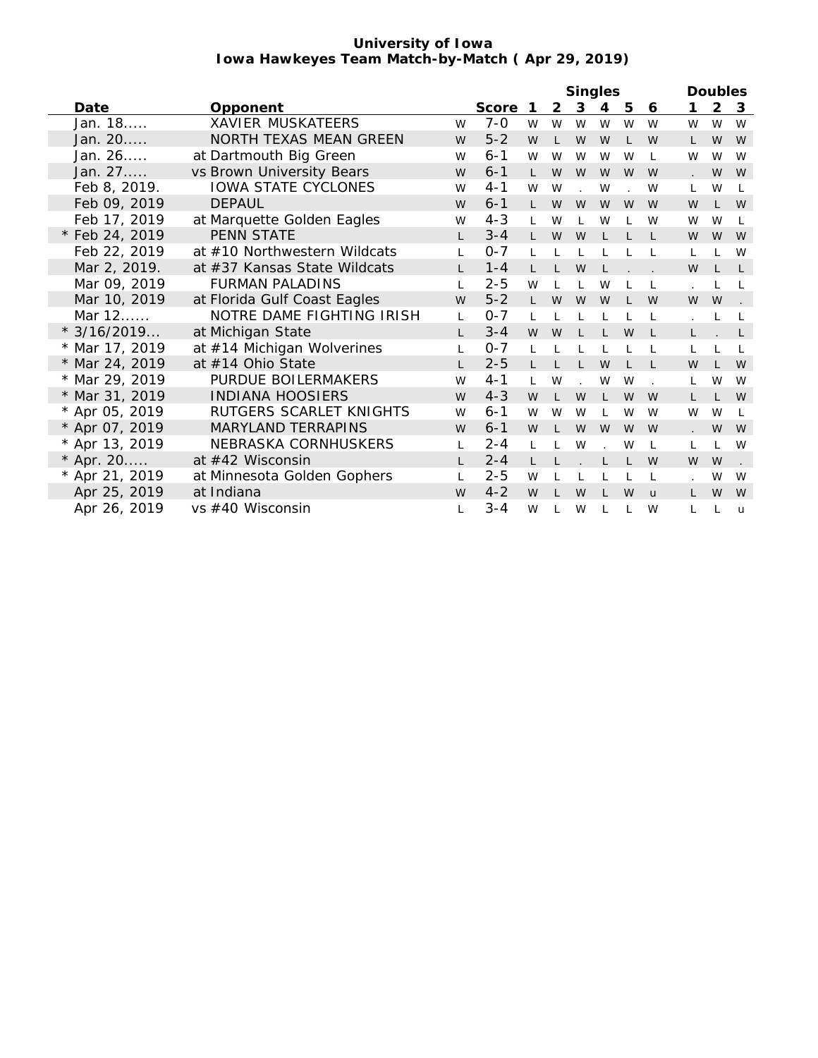|                |                              |              | Singles |              |   |              |                | Doubles |              |    |                |              |
|----------------|------------------------------|--------------|---------|--------------|---|--------------|----------------|---------|--------------|----|----------------|--------------|
| Date           | Opponent                     |              | Score   | -1           | 2 | 3            | $\overline{4}$ | 5       | 6            | 1  | $\overline{2}$ | 3            |
| Jan. 18        | <b>XAVIER MUSKATEERS</b>     | W            | $7 - 0$ | W            | W | W            | W              | W       | W            | W  | W              | W            |
| Jan. 20        | NORTH TEXAS MEAN GREEN       | W            | $5 - 2$ | W            | L | W            | W              |         | W            | L  | W              | W            |
| Jan. 26        | at Dartmouth Big Green       | W            | $6 - 1$ | W            | W | W            | W              | W       | L            | W  | W              | W            |
| Jan. 27        | vs Brown University Bears    | W            | $6 - 1$ | L.           | W | W            | W              | W       | W            |    | W              | W            |
| Feb 8, 2019.   | <b>IOWA STATE CYCLONES</b>   | W            | $4 - 1$ | W            | W |              | W              |         | W            | L  | W              |              |
| Feb 09, 2019   | <b>DEPAUL</b>                | W            | $6 - 1$ | $\mathsf{L}$ | W | W            | W              | W       | W            | W  |                | W            |
| Feb 17, 2019   | at Marquette Golden Eagles   | W            | $4 - 3$ |              | W |              | W              |         | W            | W  | W              |              |
| * Feb 24, 2019 | <b>PENN STATE</b>            | $\mathsf{L}$ | $3 - 4$ | $\mathsf{L}$ | W | W            |                |         |              | W  | W              | W            |
| Feb 22, 2019   | at #10 Northwestern Wildcats | L            | $0 - 7$ |              |   |              |                |         |              | L  |                | W            |
| Mar 2, 2019.   | at #37 Kansas State Wildcats | L.           | $1 - 4$ |              |   | W            | L              |         |              | W  | L              | L            |
| Mar 09, 2019   | <b>FURMAN PALADINS</b>       | L            | $2 - 5$ | W            |   |              | W              |         | L            |    |                | L            |
| Mar 10, 2019   | at Florida Gulf Coast Eagles | W            | $5 - 2$ | $\mathsf{L}$ | W | W            | W              |         | W            | W  | W              |              |
| Mar 12         | NOTRE DAME FIGHTING IRISH    | L            | $0 - 7$ | L            | L |              | L              |         |              |    |                | L            |
| $*3/16/2019$   | at Michigan State            | $\mathbf{L}$ | $3 - 4$ | W            | W |              | $\mathsf{L}$   | W       | L            | L. |                | L            |
| * Mar 17, 2019 | at #14 Michigan Wolverines   | L            | $0 - 7$ | L            |   |              |                |         |              | L  |                |              |
| * Mar 24, 2019 | at #14 Ohio State            | L.           | $2 - 5$ |              |   |              | W              |         |              | W  |                | W            |
| * Mar 29, 2019 | PURDUE BOILERMAKERS          | W            | $4 - 1$ | L            | W |              | W              | W       |              | L  | W              | W            |
| * Mar 31, 2019 | <b>INDIANA HOOSIERS</b>      | W            | $4 - 3$ | W            |   | W            | L              | W       | W            | L  |                | W            |
| * Apr 05, 2019 | RUTGERS SCARLET KNIGHTS      | W            | $6 - 1$ | W            | W | W            | L              | W       | W            | W  | W              | L            |
| * Apr 07, 2019 | MARYLAND TERRAPINS           | W            | $6 - 1$ | W            |   | W            | W              | W       | W            |    | W              | W            |
| * Apr 13, 2019 | NEBRASKA CORNHUSKERS         | L            | $2 - 4$ | L            |   | W            |                | W       | L            | L  |                | W            |
| * Apr. $20$    | at #42 Wisconsin             | $\mathsf{L}$ | $2 - 4$ | $\mathsf{L}$ |   |              |                |         | W            | W  | W              |              |
| * Apr 21, 2019 | at Minnesota Golden Gophers  | L            | $2 - 5$ | W            | L | $\mathbf{L}$ | L              |         | L            |    | W              | W            |
| Apr 25, 2019   | at Indiana                   | W            | $4 - 2$ | W            |   | W            |                | W       | $\mathsf{u}$ | L  | W              | W            |
| Apr 26, 2019   | $vs$ #40 Wisconsin           | L            | $3 - 4$ | W            |   | W            |                |         | W            | L  |                | $\mathsf{u}$ |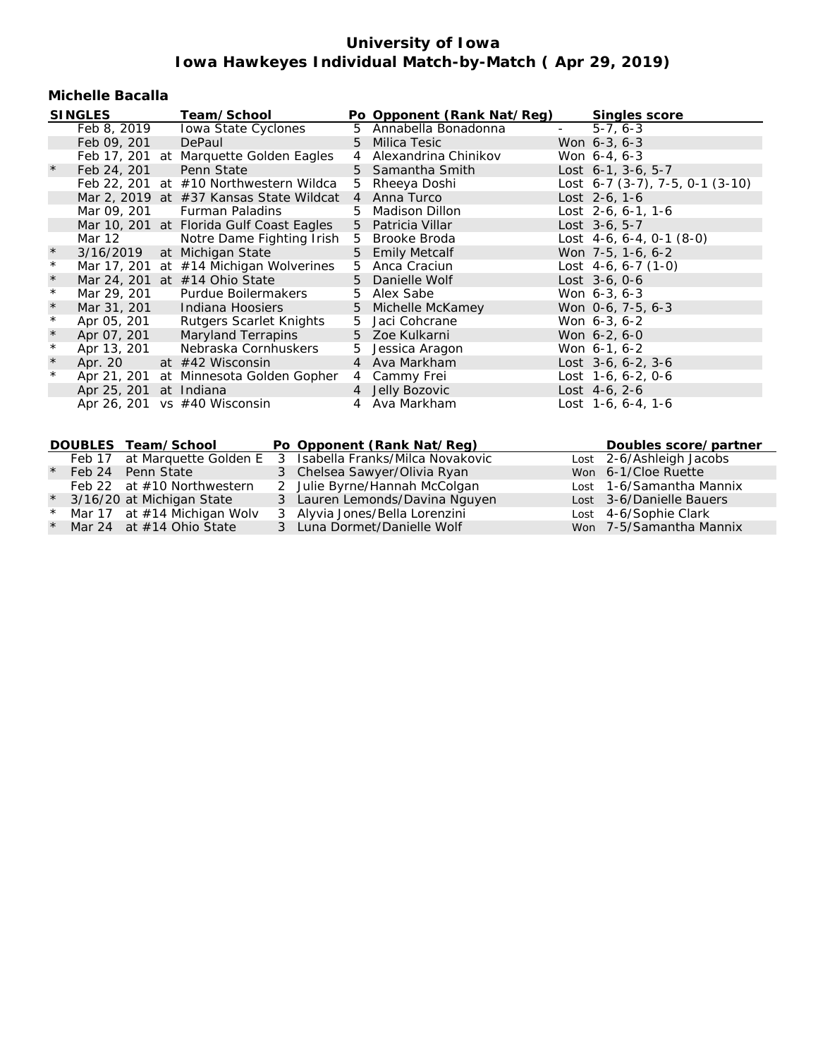#### **Michelle Bacalla**

|            | <b>SINGLES</b>         | Team/School                                    |                | Po Opponent (Rank Nat/Reg)          |                                             | Singles score                   |
|------------|------------------------|------------------------------------------------|----------------|-------------------------------------|---------------------------------------------|---------------------------------|
|            | Feb 8, 2019            | Iowa State Cyclones                            |                | 5 Annabella Bonadonna               | $\omega_{\rm{max}}$ and $\omega_{\rm{max}}$ | $5-7, 6-3$                      |
|            | Feb 09, 201            | DePaul                                         |                | 5 Milica Tesic <b>Security</b> 1997 |                                             | Won 6-3, 6-3                    |
|            |                        | Feb 17, 201 at Marquette Golden Eagles         |                | 4 Alexandrina Chinikov              |                                             | Won 6-4, 6-3                    |
| $\star$    | Feb 24, 201            | Penn State                                     |                | 5 Samantha Smith                    |                                             | Lost $6-1$ , $3-6$ , $5-7$      |
|            |                        | Feb 22, 201 at #10 Northwestern Wildca         |                | 5 Rheeya Doshi                      |                                             | Lost 6-7 (3-7), 7-5, 0-1 (3-10) |
|            |                        | Mar 2, 2019 at #37 Kansas State Wildcat        |                | 4 Anna Turco                        |                                             | Lost $2-6, 1-6$                 |
|            | Mar 09, 201            | Furman Paladins                                |                | 5 Madison Dillon                    |                                             | Lost $2-6, 6-1, 1-6$            |
|            |                        | Mar 10, 201 at Florida Gulf Coast Eagles       |                | 5 Patricia Villar                   |                                             | Lost 3-6, 5-7                   |
|            | Mar $12$               | Notre Dame Fighting Irish                      |                | 5 Brooke Broda                      |                                             | Lost $4-6, 6-4, 0-1 (8-0)$      |
| $^{\star}$ |                        | 3/16/2019 at Michigan State<br><u>a sa san</u> |                | 5 Emily Metcalf                     |                                             | Won 7-5, 1-6, 6-2               |
| $\star$    |                        | Mar 17, 201 at #14 Michigan Wolverines         |                | 5 Anca Craciun                      |                                             | Lost $4-6, 6-7 (1-0)$           |
| $^{\star}$ |                        | Mar 24, 201 at #14 Ohio State                  |                | 5 Danielle Wolf                     |                                             | Lost $3-6, 0-6$                 |
| $\star$    | Mar 29, 201            | Purdue Boilermakers                            |                | 5 Alex Sabe                         |                                             | Won 6-3, 6-3                    |
| $\star$    | Mar 31, 201            | <b>Indiana Hoosiers</b><br><u>a sa san</u>     |                | 5 Michelle McKamey                  |                                             | Won 0-6, 7-5, 6-3               |
| $\star$    | Apr 05, 201            | Rutgers Scarlet Knights                        | 5              | Jaci Cohcrane                       |                                             | Won 6-3, 6-2                    |
| $\star$    | Apr 07, 201            | <b>Maryland Terrapins</b>                      |                | 5 Zoe Kulkarni                      |                                             | Won 6-2, 6-0                    |
| $\star$    | Apr 13, 201            | Nebraska Cornhuskers                           |                | 5 Jessica Aragon                    |                                             | Won 6-1, 6-2                    |
| $^{\star}$ | Apr. 20                | at #42 Wisconsin                               | $\overline{4}$ | Ava Markham                         |                                             | Lost $3-6, 6-2, 3-6$            |
| $\star$    |                        | Apr 21, 201 at Minnesota Golden Gopher         |                | 4 Cammy Frei                        |                                             | Lost $1-6, 6-2, 0-6$            |
|            | Apr 25, 201 at Indiana |                                                |                | 4 Jelly Bozovic                     |                                             | Lost $4-6, 2-6$                 |
|            | Apr 26, 201            | vs #40 Wisconsin                               |                | 4 Ava Markham                       |                                             | Lost $1-6, 6-4, 1-6$            |
|            |                        |                                                |                |                                     |                                             |                                 |

| DOUBLES Team/School |  | Po Opponent (Rank Nat/Reg)       | Doubles score/partner                                          |                          |
|---------------------|--|----------------------------------|----------------------------------------------------------------|--------------------------|
|                     |  |                                  | Feb 17 at Marquette Golden E 3 Isabella Franks/Milca Novakovic | Lost 2-6/Ashleigh Jacobs |
|                     |  | * Feb 24 Penn State              | 3 Chelsea Sawyer/Olivia Ryan                                   | Won 6-1/Cloe Ruette      |
|                     |  | Feb 22 at $#10$ Northwestern     | 2 Julie Byrne/Hannah McColgan                                  | Lost 1-6/Samantha Mannix |
|                     |  | * 3/16/20 at Michigan State      | 3 Lauren Lemonds/Davina Nguyen                                 | Lost 3-6/Danielle Bauers |
|                     |  | * Mar 17 at #14 Michigan Wolv    | 3 Alyvia Jones/Bella Lorenzini                                 | Lost 4-6/Sophie Clark    |
|                     |  | $*$ Mar 24 at $\#$ 14 Ohio State | 3 Luna Dormet/Danielle Wolf                                    | Won 7-5/Samantha Mannix  |
|                     |  |                                  |                                                                |                          |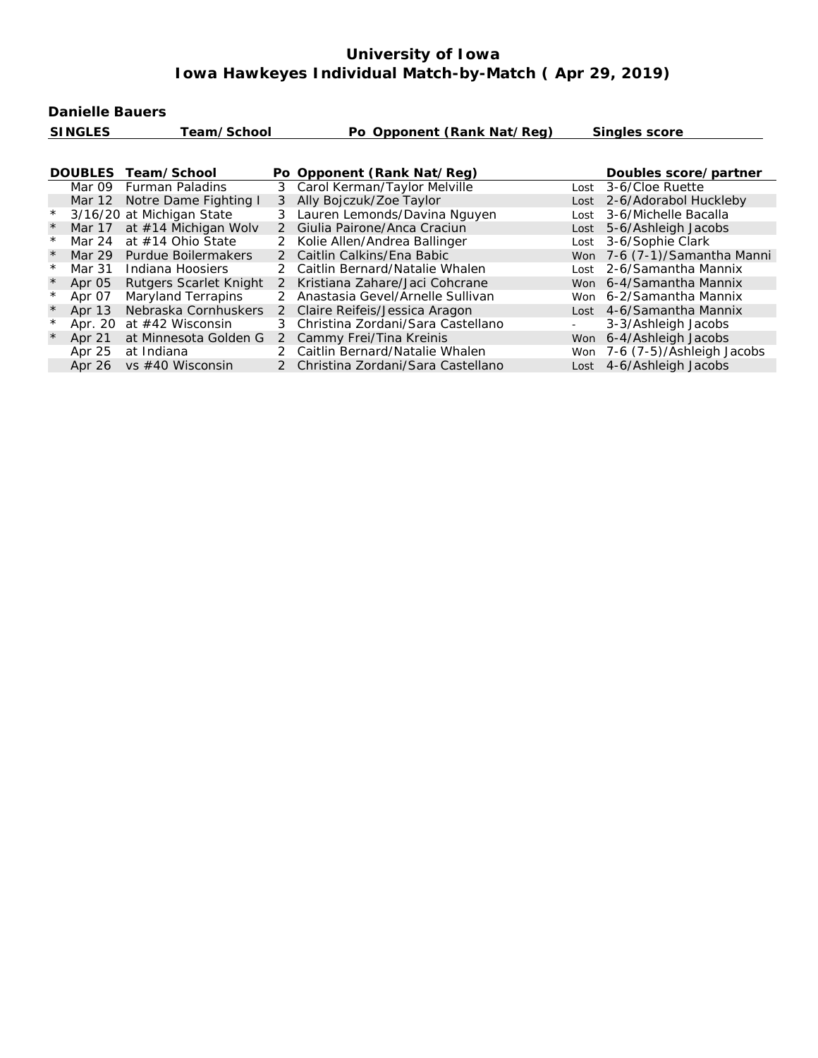**Danielle Bauers**

| <b>SINGLES</b> |                | Team/School                  |   | Po Opponent (Rank Nat/Reg)        |      | Singles score                 |
|----------------|----------------|------------------------------|---|-----------------------------------|------|-------------------------------|
|                |                |                              |   |                                   |      |                               |
|                | <b>DOUBLES</b> | Team/School                  |   | Po Opponent (Rank Nat/Reg)        |      | Doubles score/partner         |
|                | Mar 09         | <b>Furman Paladins</b>       | 3 | Carol Kerman/Taylor Melville      | Lost | 3-6/Cloe Ruette               |
|                |                | Mar 12 Notre Dame Fighting I | 3 | Ally Bojczuk/Zoe Taylor           | Lost | 2-6/Adorabol Huckleby         |
| $\star$        |                | 3/16/20 at Michigan State    | 3 | Lauren Lemonds/Davina Nguyen      | Lost | 3-6/Michelle Bacalla          |
| $\star$        | Mar 17         | at #14 Michigan Wolv         |   | Giulia Pairone/Anca Craciun       | Lost | 5-6/Ashleigh Jacobs           |
|                | Mar 24         | at #14 Ohio State            | 2 | Kolie Allen/Andrea Ballinger      | Lost | 3-6/Sophie Clark              |
| $\star$        | Mar 29         | <b>Purdue Boilermakers</b>   | 2 | Caitlin Calkins/Ena Babic         |      | Won 7-6 (7-1)/Samantha Manni  |
| $\star$        | Mar 31         | Indiana Hoosiers             | 2 | Caitlin Bernard/Natalie Whalen    |      | Lost 2-6/Samantha Mannix      |
| $\star$        | Apr 05         | Rutgers Scarlet Knight       | 2 | Kristiana Zahare/Jaci Cohcrane    |      | Won 6-4/Samantha Mannix       |
|                | Apr 07         | Maryland Terrapins           | 2 | Anastasia Gevel/Arnelle Sullivan  |      | Won 6-2/Samantha Mannix       |
| $\star$        | Apr 13         | Nebraska Cornhuskers         | 2 | Claire Reifeis/Jessica Aragon     | Lost | 4-6/Samantha Mannix           |
|                | Apr. 20        | at #42 Wisconsin             | 3 | Christina Zordani/Sara Castellano |      | 3-3/Ashleigh Jacobs           |
| $\star$        | Apr 21         | at Minnesota Golden G        |   | 2 Cammy Frei/Tina Kreinis         |      | Won 6-4/Ashleigh Jacobs       |
|                | Apr 25         | at Indiana                   |   | 2 Caitlin Bernard/Natalie Whalen  |      | Won 7-6 (7-5)/Ashleigh Jacobs |
|                | Apr 26         | vs $\#40$ Wisconsin          |   | Christina Zordani/Sara Castellano |      | Lost 4-6/Ashleigh Jacobs      |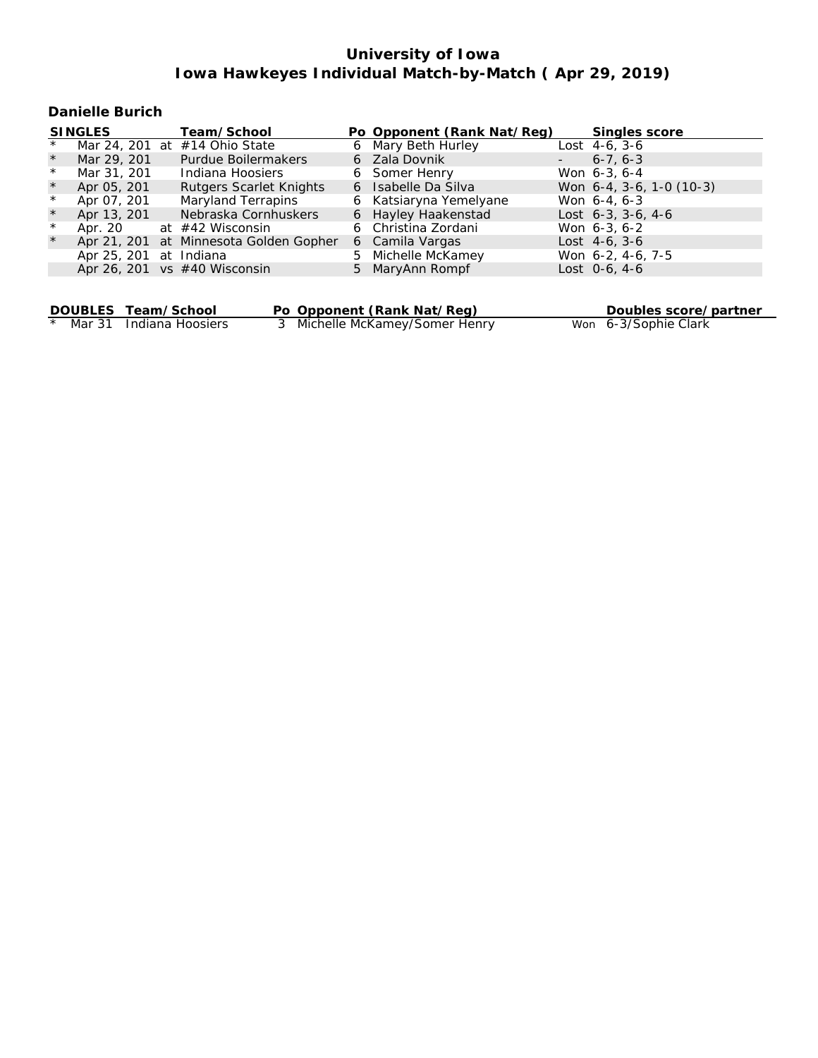### **Danielle Burich**

| <b>SINGLES</b> |             | Team/School                            | Po Opponent (Rank Nat/Reg) | Singles score              |
|----------------|-------------|----------------------------------------|----------------------------|----------------------------|
|                |             | Mar 24, 201 at #14 Ohio State          | 6 Mary Beth Hurley         | $Last 4-6, 3-6$            |
| $\star$        | Mar 29, 201 | Purdue Boilermakers                    | 6 Zala Dovnik              | $6 - 7.6 - 3$              |
| $\star$        | Mar 31, 201 | Indiana Hoosiers                       | 6 Somer Henry              | Won 6-3, 6-4               |
| $\star$        | Apr 05, 201 | <b>Rutgers Scarlet Knights</b>         | 6 Isabelle Da Silva        | Won 6-4, 3-6, 1-0 (10-3)   |
| $\star$        | Apr 07, 201 | Maryland Terrapins                     | 6 Katsiaryna Yemelyane     | Won 6-4, 6-3               |
| $\star$        | Apr 13, 201 | Nebraska Cornhuskers                   | 6 Hayley Haakenstad        | Lost $6-3$ , $3-6$ , $4-6$ |
| $\star$        |             | Apr. 20 $at$ #42 Wisconsin             | 6 Christina Zordani        | Won 6-3, 6-2               |
| $\star$        |             | Apr 21, 201 at Minnesota Golden Gopher | 6 Camila Vargas            | $Last 4-6, 3-6$            |
|                | Apr 25, 201 | at Indiana                             | 5 Michelle McKamey         | Won 6-2, 4-6, 7-5          |
|                |             | Apr 26, 201 vs $\#40$ Wisconsin        | 5 MaryAnn Rompf            | Lost $0-6, 4-6$            |
|                |             |                                        |                            |                            |
|                |             |                                        |                            |                            |

| DOUBLES Team/School       | Po Opponent (Rank Nat/Reg)   | Doubles score/partner |
|---------------------------|------------------------------|-----------------------|
| * Mar 31 Indiana Hoosiers | Michelle McKamey/Somer Henry | Won 6-3/Sophie Clark  |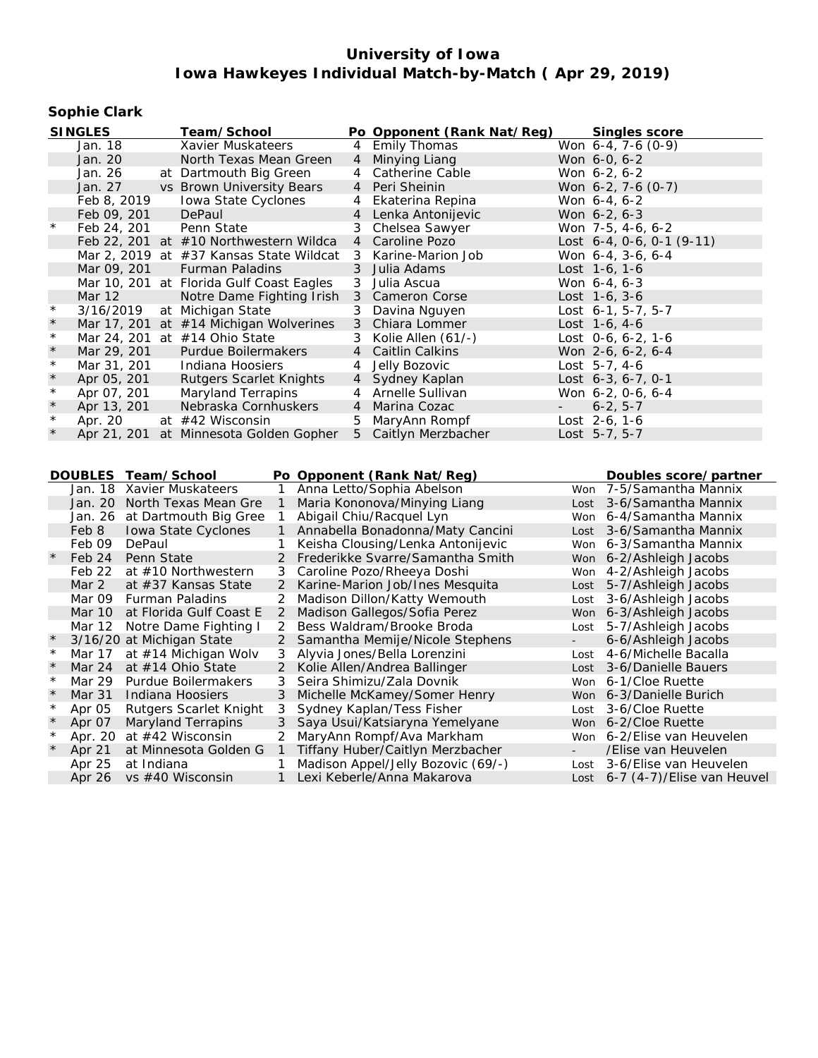# **Sophie Clark**

|          | <b>SINGLES</b>                 |            | Team/School                                          |                |                | Po Opponent (Rank Nat/Reg)                              |                             |                 | Singles score                                |
|----------|--------------------------------|------------|------------------------------------------------------|----------------|----------------|---------------------------------------------------------|-----------------------------|-----------------|----------------------------------------------|
|          | Jan. 18                        |            | Xavier Muskateers                                    |                | 4              | <b>Emily Thomas</b>                                     |                             |                 | Won 6-4, 7-6 (0-9)                           |
|          | Jan. 20                        |            | North Texas Mean Green                               |                | $\overline{4}$ | Minying Liang                                           |                             | Won 6-0, 6-2    |                                              |
|          | Jan. 26                        |            | at Dartmouth Big Green                               |                | 4              | Catherine Cable                                         | Won 6-2, 6-2                |                 |                                              |
|          | Jan. 27                        |            | vs Brown University Bears                            |                | $\overline{4}$ | Peri Sheinin                                            |                             |                 | Won 6-2, 7-6 (0-7)                           |
|          | Feb 8, 2019                    |            | Iowa State Cyclones                                  |                | 4              | Ekaterina Repina                                        |                             | Won 6-4, 6-2    |                                              |
|          | Feb 09, 201                    |            | DePaul                                               |                | $\overline{4}$ | Lenka Antonijevic                                       |                             | Won 6-2, 6-3    |                                              |
| $\star$  | Feb 24, 201                    |            | Penn State                                           |                | 3              | Chelsea Sawyer                                          |                             |                 | Won 7-5, 4-6, 6-2                            |
|          |                                |            | Feb 22, 201 at #10 Northwestern Wildca               |                | $\overline{4}$ | Caroline Pozo                                           |                             |                 | Lost $6-4$ , $0-6$ , $0-1$ $(9-11)$          |
|          |                                |            | Mar 2, 2019 at #37 Kansas State Wildcat              |                | 3              | Karine-Marion Job                                       |                             |                 | Won 6-4, 3-6, 6-4                            |
|          | Mar 09, 201                    |            | <b>Furman Paladins</b>                               |                | 3              | Julia Adams                                             |                             | Lost 1-6, 1-6   |                                              |
|          |                                |            | Mar 10, 201 at Florida Gulf Coast Eagles             |                | 3              | Julia Ascua                                             | Won 6-4, 6-3                |                 |                                              |
|          |                                |            |                                                      |                |                |                                                         |                             |                 |                                              |
| $^\star$ | Mar 12                         |            | Notre Dame Fighting Irish                            |                | 3              | Cameron Corse                                           |                             | Lost 1-6, 3-6   |                                              |
| $\star$  | 3/16/2019                      |            | at Michigan State                                    |                | 3              | Davina Nguyen                                           |                             |                 | Lost 6-1, 5-7, 5-7                           |
| $\star$  |                                |            | Mar 17, 201 at #14 Michigan Wolverines               |                | 3              | Chiara Lommer                                           |                             | Lost $1-6, 4-6$ |                                              |
|          |                                |            | Mar 24, 201 at #14 Ohio State                        |                | 3              | Kolie Allen (61/-)                                      |                             |                 | Lost $0-6, 6-2, 1-6$                         |
| $\star$  | Mar 29, 201                    |            | Purdue Boilermakers                                  |                | 4              | <b>Caitlin Calkins</b>                                  |                             |                 | Won 2-6, 6-2, 6-4                            |
| $\star$  | Mar 31, 201                    |            | Indiana Hoosiers                                     |                | 4              | Jelly Bozovic                                           |                             | Lost 5-7, 4-6   |                                              |
| $\star$  | Apr 05, 201                    |            | <b>Rutgers Scarlet Knights</b>                       |                | $\overline{4}$ | Sydney Kaplan                                           |                             |                 | Lost $6-3, 6-7, 0-1$                         |
| $\star$  | Apr 07, 201                    |            | Maryland Terrapins                                   |                | 4              | Arnelle Sullivan                                        |                             |                 | Won 6-2, 0-6, 6-4                            |
| $\star$  | Apr 13, 201                    |            | Nebraska Cornhuskers                                 |                | $\overline{4}$ | Marina Cozac                                            |                             | $6-2, 5-7$      |                                              |
| $^\star$ | Apr. 20                        |            | at #42 Wisconsin                                     |                | 5              | MaryAnn Rompf                                           |                             | Lost 2-6, 1-6   |                                              |
| $\star$  |                                |            | Apr 21, 201 at Minnesota Golden Gopher               |                | 5              | Caitlyn Merzbacher                                      |                             | Lost 5-7, 5-7   |                                              |
|          | DOUBLES Team/School<br>Jan. 18 |            | Xavier Muskateers                                    | 1              |                | Po Opponent (Rank Nat/Reg)<br>Anna Letto/Sophia Abelson | Won                         |                 | Doubles score/partner<br>7-5/Samantha Mannix |
|          |                                |            | Jan. 20 North Texas Mean Gre                         | $\mathbf{1}$   |                | Maria Kononova/Minying Liang                            |                             |                 | Lost 3-6/Samantha Mannix                     |
|          |                                |            |                                                      | 1              |                | Abigail Chiu/Racquel Lyn                                |                             |                 | Won 6-4/Samantha Mannix                      |
|          | Feb 8                          |            | Jan. 26 at Dartmouth Big Gree<br>Iowa State Cyclones | $\mathbf{1}$   |                | Annabella Bonadonna/Maty Cancini                        |                             |                 | Lost 3-6/Samantha Mannix                     |
|          |                                |            |                                                      |                |                |                                                         |                             |                 |                                              |
|          | Feb 09                         | DePaul     |                                                      | $\mathbf{1}$   |                | Keisha Clousing/Lenka Antonijevic                       |                             |                 | Won 6-3/Samantha Mannix                      |
|          | Feb 24                         | Penn State |                                                      | $\overline{2}$ |                | Frederikke Svarre/Samantha Smith                        |                             |                 | Won 6-2/Ashleigh Jacobs                      |
|          | Feb 22                         |            | at #10 Northwestern                                  | 3              |                | Caroline Pozo/Rheeya Doshi                              |                             |                 | Won 4-2/Ashleigh Jacobs                      |
|          | Mar 2                          |            | at #37 Kansas State                                  | $\overline{2}$ |                | Karine-Marion Job/Ines Mesquita                         | Lost                        |                 | 5-7/Ashleigh Jacobs                          |
|          | Mar 09                         |            | <b>Furman Paladins</b>                               | 2              |                | Madison Dillon/Katty Wemouth                            | Lost                        |                 | 3-6/Ashleigh Jacobs                          |
|          | Mar 10                         |            | at Florida Gulf Coast E                              | $\overline{2}$ |                | Madison Gallegos/Sofia Perez                            |                             |                 | Won 6-3/Ashleigh Jacobs                      |
|          | Mar 12                         |            | Notre Dame Fighting I                                | $\overline{2}$ |                | Bess Waldram/Brooke Broda                               | Lost                        |                 | 5-7/Ashleigh Jacobs                          |
| $\star$  | 3/16/20 at Michigan State      |            |                                                      |                |                |                                                         |                             |                 | 6-6/Ashleigh Jacobs                          |
| $\star$  | Mar 17                         |            |                                                      | $\overline{2}$ |                | Samantha Memije/Nicole Stephens                         | $\mathcal{L}_{\mathcal{A}}$ |                 |                                              |
|          |                                |            | at #14 Michigan Wolv                                 | 3              |                | Alyvia Jones/Bella Lorenzini                            |                             |                 | Lost 4-6/Michelle Bacalla                    |
| $\star$  | Mar 24                         |            | at #14 Ohio State                                    | $\overline{2}$ |                | Kolie Allen/Andrea Ballinger                            | Lost                        |                 | 3-6/Danielle Bauers                          |
| $\star$  | Mar 29                         |            | Purdue Boilermakers                                  | 3              |                | Seira Shimizu/Zala Dovnik                               |                             |                 | Won 6-1/Cloe Ruette                          |
| $\star$  | Mar 31                         |            | Indiana Hoosiers                                     | 3              |                | Michelle McKamey/Somer Henry                            |                             |                 | Won 6-3/Danielle Burich                      |
| $\star$  | Apr 05                         |            | Rutgers Scarlet Knight                               | 3              |                | Sydney Kaplan/Tess Fisher                               | Lost                        |                 | 3-6/Cloe Ruette                              |
| $\star$  | Apr 07                         |            | <b>Maryland Terrapins</b>                            | 3              |                | Saya Usui/Katsiaryna Yemelyane                          |                             |                 | Won 6-2/Cloe Ruette                          |
| $\star$  | Apr. 20                        |            | at #42 Wisconsin                                     | 2              |                | MaryAnn Rompf/Ava Markham                               |                             |                 | Won 6-2/Elise van Heuvelen                   |
| $\star$  | Apr 21                         |            | at Minnesota Golden G                                | $\mathbf{1}$   |                | Tiffany Huber/Caitlyn Merzbacher                        | $\mathbb{Z}^{\mathbb{Z}}$   |                 | /Elise van Heuvelen                          |
|          | Apr 25                         | at Indiana |                                                      | 1              |                | Madison Appel/Jelly Bozovic (69/-)                      |                             |                 | Lost 3-6/Elise van Heuvelen                  |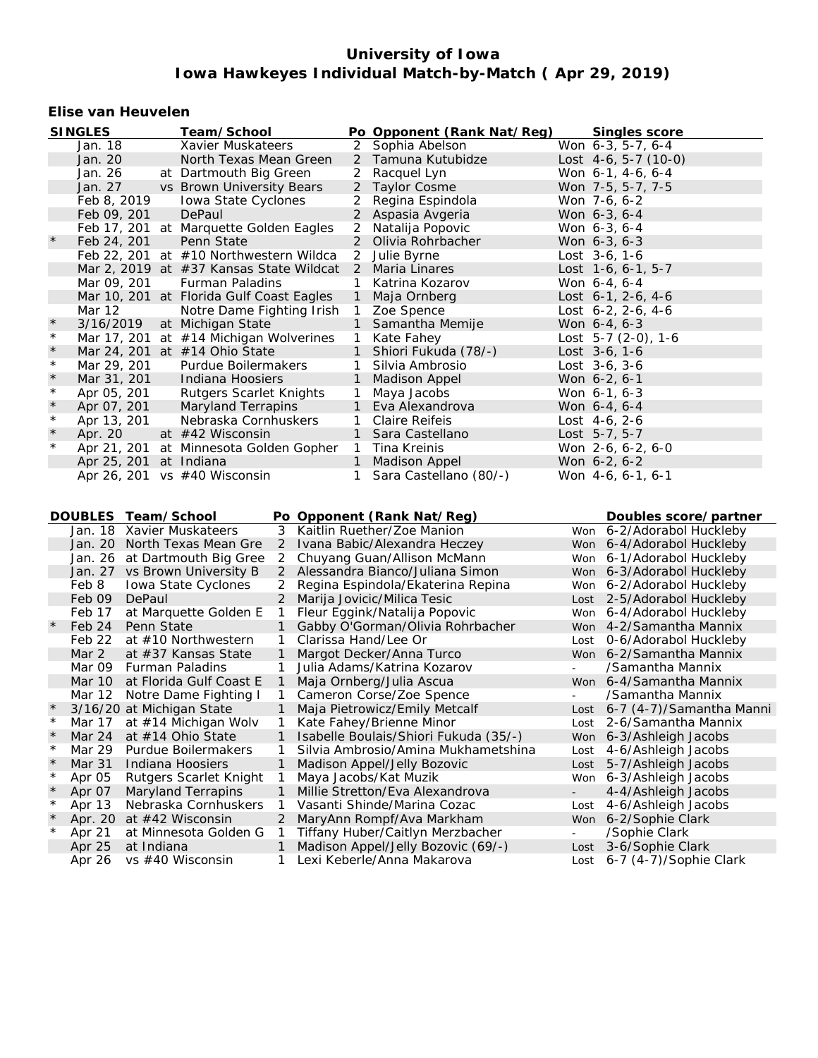#### **Elise van Heuvelen**

| <b>SINGLES</b><br>Team/School<br>Po Opponent (Rank Nat/Reg)                                                                               | Singles score              |
|-------------------------------------------------------------------------------------------------------------------------------------------|----------------------------|
| Xavier Muskateers<br>Jan. 18<br>2<br>Sophia Abelson<br>Won 6-3, 5-7, 6-4                                                                  |                            |
| 2 Tamuna Kutubidze<br>Jan. 20<br>North Texas Mean Green<br>Lost 4-6, 5-7 (10-0)                                                           |                            |
| at Dartmouth Big Green<br>$\overline{2}$<br>Racquel Lyn<br>Won 6-1, 4-6, 6-4<br>Jan. 26                                                   |                            |
| 2 Taylor Cosme<br>Jan. 27<br>vs Brown University Bears<br>Won 7-5, 5-7, 7-5                                                               |                            |
| Feb 8, 2019<br>Iowa State Cyclones<br>$\overline{2}$<br>Regina Espindola<br>Won 7-6, 6-2                                                  |                            |
| 2 Aspasia Avgeria<br>Feb 09, 201<br>DePaul<br>Won 6-3, 6-4                                                                                |                            |
| 2 Natalija Popovic<br>Feb 17, 201 at Marquette Golden Eagles<br>Won 6-3, 6-4                                                              |                            |
| $\star$<br>2 Olivia Rohrbacher<br>Feb 24, 201<br>Penn State<br>Won 6-3, 6-3                                                               |                            |
| $\overline{2}$<br>Feb 22, 201 at #10 Northwestern Wildca<br>Julie Byrne<br>Lost $3-6, 1-6$                                                |                            |
| $\overline{2}$<br>Mar 2, 2019 at #37 Kansas State Wildcat<br>Maria Linares<br>Lost $1-6, 6-1, 5-7$                                        |                            |
| Mar 09, 201<br><b>Furman Paladins</b><br>1<br>Katrina Kozarov<br>Won 6-4, 6-4                                                             |                            |
| Mar 10, 201 at Florida Gulf Coast Eagles<br>$\mathbf{1}$<br>Maja Ornberg<br>Lost $6-1$ , $2-6$ , $4-6$                                    |                            |
| Mar 12<br>Notre Dame Fighting Irish<br>$\mathbf{1}$<br>Zoe Spence<br>Lost 6-2, 2-6, 4-6                                                   |                            |
| $\star$<br>$\mathbf{1}$<br>3/16/2019<br>at Michigan State<br>Samantha Memije<br>Won 6-4, 6-3                                              |                            |
| $\star$<br>Mar 17, 201 at #14 Michigan Wolverines<br>$\mathbf{1}$<br>Kate Fahey<br>Lost $5-7$ $(2-0)$ , $1-6$                             |                            |
| $\star$<br>$\mathbf{1}$<br>Mar 24, 201 at #14 Ohio State<br>Shiori Fukuda (78/-)<br>Lost $3-6, 1-6$                                       |                            |
| $\star$<br>Mar 29, 201<br>Purdue Boilermakers<br>Silvia Ambrosio<br>Lost $3-6, 3-6$<br>1                                                  |                            |
| $\star$<br>Mar 31, 201<br>Indiana Hoosiers<br>$\mathbf{1}$<br>Madison Appel<br>Won 6-2, 6-1                                               |                            |
| $\star$<br>1                                                                                                                              |                            |
| Apr 05, 201<br><b>Rutgers Scarlet Knights</b><br>Maya Jacobs<br>Won 6-1, 6-3<br>$\star$<br>Apr 07, 201<br>$\mathbf{1}$<br>Eva Alexandrova |                            |
| Maryland Terrapins<br>Won 6-4, 6-4<br>$\star$<br><b>Claire Reifeis</b>                                                                    |                            |
| Apr 13, 201<br>Nebraska Cornhuskers<br>1<br>Lost $4-6, 2-6$<br>$\star$<br>$\mathbf{1}$                                                    |                            |
| at #42 Wisconsin<br>Apr. 20<br>Sara Castellano<br>Lost 5-7, 5-7<br>$\star$                                                                |                            |
| Apr 21, 201<br>at Minnesota Golden Gopher<br>Tina Kreinis<br>$\mathbf{1}$<br>Won 2-6, 6-2, 6-0                                            |                            |
| 1<br>Apr 25, 201 at Indiana<br><b>Madison Appel</b><br>Won 6-2, 6-2                                                                       |                            |
| Apr 26, 201 vs $\#40$ Wisconsin<br>1<br>Sara Castellano (80/-)<br>Won 4-6, 6-1, 6-1                                                       |                            |
|                                                                                                                                           |                            |
| DOUBLES Team/School<br>Po Opponent (Rank Nat/Reg)                                                                                         | Doubles score/partner      |
| Jan. 18 Xavier Muskateers<br>Kaitlin Ruether/Zoe Manion<br>3                                                                              | Won 6-2/Adorabol Huckleby  |
| Jan. 20 North Texas Mean Gre<br>2 Ivana Babic/Alexandra Heczey                                                                            | Won 6-4/Adorabol Huckleby  |
| Jan. 26 at Dartmouth Big Gree<br>Chuyang Guan/Allison McMann<br>$\overline{2}$                                                            | Won 6-1/Adorabol Huckleby  |
| Jan. 27 vs Brown University B<br>2 Alessandra Bianco/Juliana Simon                                                                        | Won 6-3/Adorabol Huckleby  |
| Feb 8<br>Iowa State Cyclones<br>2<br>Regina Espindola/Ekaterina Repina                                                                    | Won 6-2/Adorabol Huckleby  |
| Feb 09<br>DePaul<br>$\overline{2}$<br>Marija Jovicic/Milica Tesic                                                                         | Lost 2-5/Adorabol Huckleby |
| Feb 17<br>at Marquette Golden E<br>1<br>Fleur Eggink/Natalija Popovic                                                                     | Won 6-4/Adorabol Huckleby  |
| 1<br>Feb 24<br>Penn State<br>Gabby O'Gorman/Olivia Rohrbacher                                                                             | Won 4-2/Samantha Mannix    |
| Feb 22<br>at #10 Northwestern<br>Clarissa Hand/Lee Or<br>1                                                                                | Lost 0-6/Adorabol Huckleby |
| $\mathbf{1}$<br>Mar 2<br>at #37 Kansas State<br>Margot Decker/Anna Turco                                                                  | Won 6-2/Samantha Mannix    |
| Mar 09<br><b>Furman Paladins</b><br>1<br>Julia Adams/Katrina Kozarov                                                                      | /Samantha Mannix           |
| 1<br>Maja Ornberg/Julia Ascua<br>Mar 10<br>at Florida Gulf Coast E                                                                        | Won 6-4/Samantha Mannix    |
| 1<br>Mar 12<br>Notre Dame Fighting I<br>Cameron Corse/Zoe Spence                                                                          | /Samantha Mannix           |

3/16/20 at Michigan State 1 Maja Pietrowicz/Emily Metcalf Lost 6-7 (4-7)/Samantha Manni Mar 17 at #14 Michigan Wolv 1 Kate Fahey/Brienne Minor Lost 2-6/Samantha Mannix Mar 24 at #14 Ohio State 1 Isabelle Boulais/Shiori Fukuda (35/-) Won 6-3/Ashleigh Jacobs Mar 29 Purdue Boilermakers 1 Silvia Ambrosio/Amina Mukhametshina Lost 4-6/Ashleigh Jacobs<br>Mar 31 Indiana Hoosiers 1 Madison Appel/Jelly Bozovic Lost 5-7/Ashleigh Jacobs

Apr 05 Rutgers Scarlet Knight 1 Maya Jacobs/Kat Muzik Won 6-3/Ashleigh Jacobs Apr 07 Maryland Terrapins 1 Millie Stretton/Eva Alexandrova - 4-4/Ashleigh Jacobs Apr 13 Nebraska Cornhuskers 1 Vasanti Shinde/Marina Cozac Lost 4-6/Ashleigh Jacobs Apr. 20 at #42 Wisconsin 2 MaryAnn Rompf/Ava Markham Won 6-2/Sophie Clark Apr 21 at Minnesota Golden G 1 Tiffany Huber/Caitlyn Merzbacher - / Sophie Clark Apr 25 at Indiana 1 Madison Appel/Jelly Bozovic (69/-) Lost 3-6/Sophie Clark Apr 26 vs #40 Wisconsin 1 Lexi Keberle/Anna Makarova Lost 6-7 (4-7)/Sophie Clark

1 Madison Appel/Jelly Bozovic Lost 5-7/Ashleigh Jacobs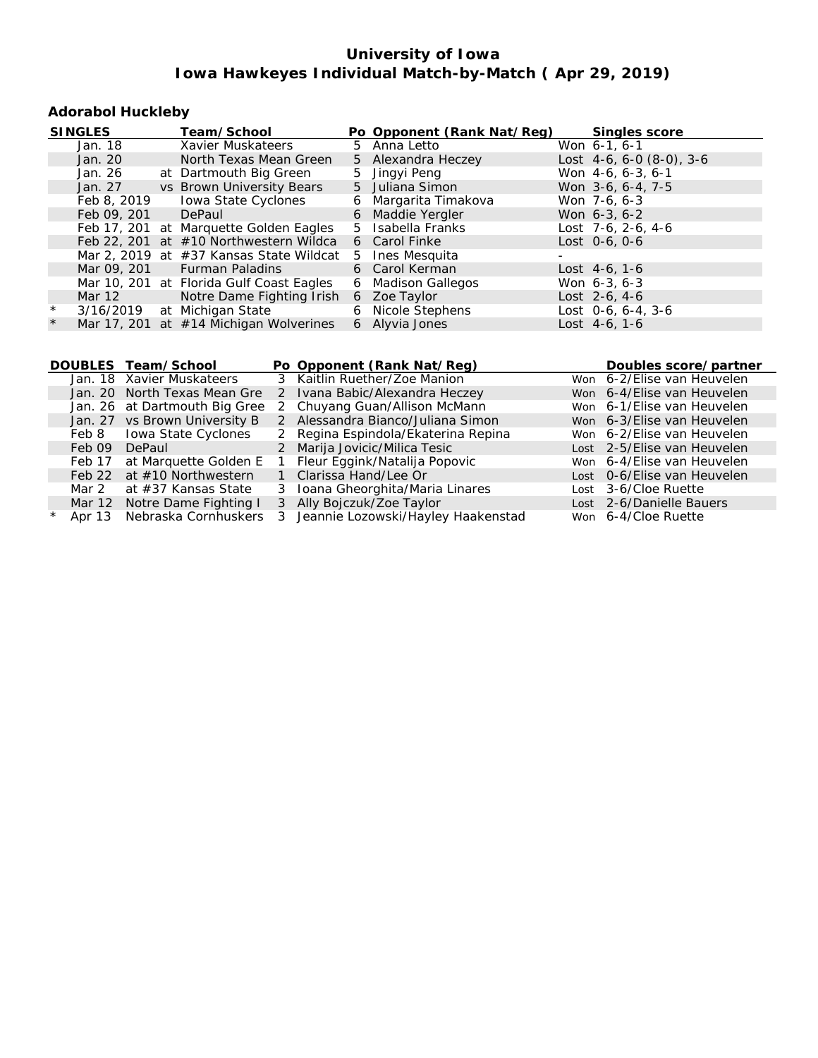# **Adorabol Huckleby**

|         | SINGLES     | Team/School                               | Po Opponent (Rank Nat/Reg) | Singles score            |
|---------|-------------|-------------------------------------------|----------------------------|--------------------------|
|         | Jan. 18     | Xavier Muskateers                         | 5 Anna Letto               | Won 6-1, 6-1             |
|         | Jan. 20     | North Texas Mean Green                    | 5 Alexandra Heczey         | Lost 4-6, 6-0 (8-0), 3-6 |
|         | Jan. 26     | at Dartmouth Big Green                    | 5 Jingyi Peng              | Won 4-6, 6-3, 6-1        |
|         | Jan. 27     | vs Brown University Bears                 | 5 Juliana Simon            | Won 3-6, 6-4, 7-5        |
|         | Feb 8, 2019 | Iowa State Cyclones                       | 6 Margarita Timakova       | Won 7-6, 6-3             |
|         | Feb 09, 201 | DePaul                                    | 6 Maddie Yergler           | Won 6-3, 6-2             |
|         |             | Feb 17, 201 at Marquette Golden Eagles    | 5 Isabella Franks          | Lost $7-6, 2-6, 4-6$     |
|         |             | Feb 22, 201 at #10 Northwestern Wildca    | 6 Carol Finke              | $Cost$ $0-6$ , $0-6$     |
|         |             | Mar 2, 2019 at $#37$ Kansas State Wildcat | 5 Ines Mesquita            |                          |
|         |             | Mar 09, 201 Furman Paladins               | 6 Carol Kerman             | $Cost$ 4-6, 1-6          |
|         |             | Mar 10, 201 at Florida Gulf Coast Eagles  | 6 Madison Gallegos         | Won 6-3, 6-3             |
|         | Mar $12$    | Notre Dame Fighting Irish                 | 6 Zoe Taylor               | Lost $2-6, 4-6$          |
| $\star$ | 3/16/2019   | at Michigan State                         | 6 Nicole Stephens          | Lost $0-6, 6-4, 3-6$     |
| $\star$ |             | Mar 17, 201 at #14 Michigan Wolverines    | 6 Alyvia Jones             | $Cost$ 4-6, 1-6          |

|                   | DOUBLES Team/School           |   | Po Opponent (Rank Nat/Reg)         | Doubles score/partner       |
|-------------------|-------------------------------|---|------------------------------------|-----------------------------|
|                   | Jan. 18 Xavier Muskateers     |   | 3 Kaitlin Ruether/Zoe Manion       | Won 6-2/Elise van Heuvelen  |
|                   | Jan. 20 North Texas Mean Gre  |   | 2 Ivana Babic/Alexandra Heczey     | Won 6-4/Elise van Heuvelen  |
|                   | Jan. 26 at Dartmouth Big Gree |   | 2 Chuyang Guan/Allison McMann      | Won 6-1/Elise van Heuvelen  |
|                   | Jan. 27 vs Brown University B |   | 2 Alessandra Bianco/Juliana Simon  | Won 6-3/Elise van Heuvelen  |
|                   | Feb 8 Iowa State Cyclones     | 2 | Regina Espindola/Ekaterina Repina  | Won 6-2/Elise van Heuvelen  |
| Feb 09            | DePaul                        | 2 | Marija Jovicic/Milica Tesic        | Lost 2-5/Elise van Heuvelen |
| Feb 17            | at Marquette Golden E         |   | Fleur Eggink/Natalija Popovic      | Won 6-4/Elise van Heuvelen  |
| Feb <sub>22</sub> | at #10 Northwestern           |   | 1 Clarissa Hand/Lee Or             | Lost 0-6/Elise van Heuvelen |
| Mar 2             | at #37 Kansas State           | 3 | Ioana Gheorghita/Maria Linares     | Lost 3-6/Cloe Ruette        |
| Mar 12            | Notre Dame Fighting I         |   | 3 Ally Bojczuk/Zoe Taylor          | Lost 2-6/Danielle Bauers    |
| Apr 13            | Nebraska Cornhuskers          | 3 | Jeannie Lozowski/Hayley Haakenstad | Won 6-4/Cloe Ruette         |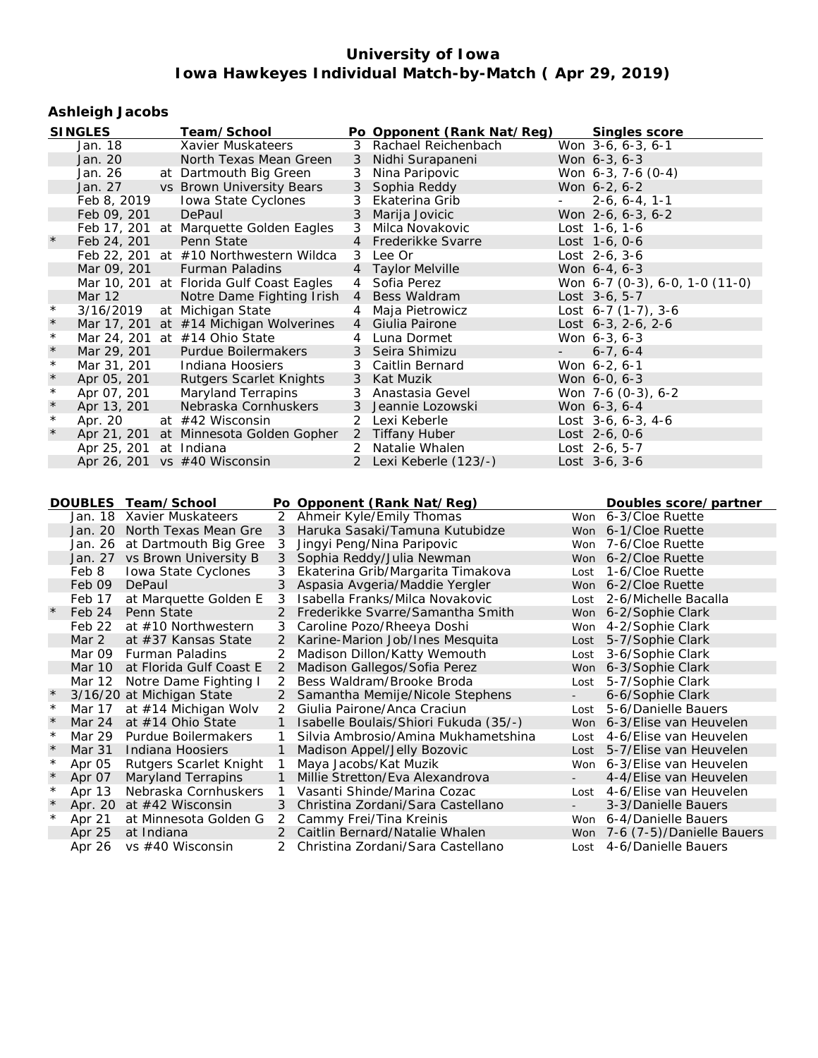## **Ashleigh Jacobs**

|            | <b>SINGLES</b>      |            | Team/School                                        |                |                | Po Opponent (Rank Nat/Reg)                                        |                     |                            | Singles score                                            |
|------------|---------------------|------------|----------------------------------------------------|----------------|----------------|-------------------------------------------------------------------|---------------------|----------------------------|----------------------------------------------------------|
|            | Jan. 18             |            | Xavier Muskateers                                  |                | 3              | Rachael Reichenbach                                               |                     | Won 3-6, 6-3, 6-1          |                                                          |
|            | Jan. 20             |            | North Texas Mean Green                             |                |                | 3 Nidhi Surapaneni                                                |                     | Won 6-3, 6-3               |                                                          |
|            | Jan. 26             |            | at Dartmouth Big Green                             |                | 3              | Nina Paripovic                                                    |                     | Won 6-3, 7-6 (0-4)         |                                                          |
|            | Jan. 27             |            | vs Brown University Bears                          |                | 3              | Sophia Reddy                                                      |                     | Won 6-2, 6-2               |                                                          |
|            | Feb 8, 2019         |            | Iowa State Cyclones                                |                | 3              | Ekaterina Grib                                                    |                     | $2-6, 6-4, 1-1$            |                                                          |
|            | Feb 09, 201         |            | DePaul                                             |                | 3              | Marija Jovicic                                                    |                     | Won 2-6, 6-3, 6-2          |                                                          |
|            |                     |            | Feb 17, 201 at Marquette Golden Eagles             |                | 3              | Milca Novakovic                                                   |                     | Lost $1-6, 1-6$            |                                                          |
| $\star$    | Feb 24, 201         |            | Penn State                                         |                | 4              | Frederikke Svarre                                                 |                     | Lost 1-6, 0-6              |                                                          |
|            |                     |            | Feb 22, 201 at #10 Northwestern Wildca             |                | 3              | Lee Or                                                            |                     | Lost $2-6, 3-6$            |                                                          |
|            | Mar 09, 201         |            | <b>Furman Paladins</b>                             |                | 4              | <b>Taylor Melville</b>                                            |                     | Won 6-4, 6-3               |                                                          |
|            |                     |            | Mar 10, 201 at Florida Gulf Coast Eagles           |                | 4              | Sofia Perez                                                       |                     |                            | Won 6-7 (0-3), 6-0, 1-0 (11-0)                           |
|            | Mar 12              |            | Notre Dame Fighting Irish                          |                | $\overline{4}$ | Bess Waldram                                                      |                     | Lost $3-6, 5-7$            |                                                          |
| $\star$    | 3/16/2019           |            | at Michigan State                                  |                | 4              | Maja Pietrowicz                                                   |                     | Lost 6-7 (1-7), 3-6        |                                                          |
| $\star$    |                     |            | Mar 17, 201 at #14 Michigan Wolverines             |                | 4              | Giulia Pairone                                                    |                     | Lost $6-3$ , $2-6$ , $2-6$ |                                                          |
| $\star$    |                     |            | Mar 24, 201 at #14 Ohio State                      |                | 4              | Luna Dormet                                                       |                     | Won 6-3, 6-3               |                                                          |
| $\star$    | Mar 29, 201         |            | Purdue Boilermakers                                |                |                | 3 Seira Shimizu                                                   | $\omega_{\rm{max}}$ | $6-7, 6-4$                 |                                                          |
| $\star$    | Mar 31, 201         |            | Indiana Hoosiers                                   |                | 3              | Caitlin Bernard                                                   |                     | Won 6-2, 6-1               |                                                          |
| $\star$    | Apr 05, 201         |            | <b>Rutgers Scarlet Knights</b>                     |                | 3              | Kat Muzik                                                         |                     | Won 6-0, 6-3               |                                                          |
| $\star$    | Apr 07, 201         |            | Maryland Terrapins                                 |                | 3              | Anastasia Gevel                                                   |                     | Won 7-6 (0-3), 6-2         |                                                          |
| $\star$    | Apr 13, 201         |            | Nebraska Cornhuskers                               |                | 3              | Jeannie Lozowski                                                  |                     | Won 6-3, 6-4               |                                                          |
| $^\star$   | Apr. 20             |            | at #42 Wisconsin                                   |                |                | 2 Lexi Keberle                                                    |                     | Lost 3-6, 6-3, 4-6         |                                                          |
| $\star$    |                     |            | Apr 21, 201 at Minnesota Golden Gopher             |                |                | 2 Tiffany Huber                                                   |                     | Lost 2-6, 0-6              |                                                          |
|            |                     |            | Apr 25, 201 at Indiana                             |                | $\overline{2}$ | Natalie Whalen                                                    |                     | Lost 2-6, 5-7              |                                                          |
|            |                     |            | Apr 26, 201 vs $#40$ Wisconsin                     |                | $\overline{2}$ | Lexi Keberle (123/-)                                              |                     | $Last 3-6, 3-6$            |                                                          |
|            |                     |            |                                                    |                |                |                                                                   |                     |                            |                                                          |
|            |                     |            |                                                    |                |                |                                                                   |                     |                            |                                                          |
|            |                     |            |                                                    |                |                |                                                                   |                     |                            |                                                          |
|            | DOUBLES Team/School |            |                                                    |                |                | Po Opponent (Rank Nat/Reg)                                        |                     |                            | Doubles score/partner                                    |
|            |                     |            | Jan. 18 Xavier Muskateers                          | 2              |                | Ahmeir Kyle/Emily Thomas                                          |                     |                            | Won 6-3/Cloe Ruette                                      |
|            |                     |            | Jan. 20 North Texas Mean Gre                       | 3              |                | Haruka Sasaki/Tamuna Kutubidze                                    |                     |                            | Won 6-1/Cloe Ruette                                      |
|            |                     |            | Jan. 26 at Dartmouth Big Gree                      | 3              |                | Jingyi Peng/Nina Paripovic                                        |                     |                            | Won 7-6/Cloe Ruette                                      |
|            |                     |            | Jan. 27 vs Brown University B                      | 3              |                | Sophia Reddy/Julia Newman                                         |                     |                            | Won 6-2/Cloe Ruette                                      |
|            | Feb 8               |            | Iowa State Cyclones                                | 3              |                | Ekaterina Grib/Margarita Timakova                                 |                     |                            | Lost 1-6/Cloe Ruette                                     |
|            | Feb 09              | DePaul     |                                                    | 3<br>3         |                | Aspasia Avgeria/Maddie Yergler<br>Isabella Franks/Milca Novakovic |                     |                            | Won 6-2/Cloe Ruette                                      |
| $\star$    | Feb 17<br>Feb 24    |            | at Marquette Golden E                              | $\overline{2}$ |                |                                                                   |                     |                            | Lost 2-6/Michelle Bacalla                                |
|            |                     | Penn State | at #10 Northwestern                                | 3              |                | Frederikke Svarre/Samantha Smith                                  |                     |                            | Won 6-2/Sophie Clark                                     |
|            | Feb 22<br>Mar 2     |            | at #37 Kansas State                                | $2^{\circ}$    |                | Caroline Pozo/Rheeya Doshi                                        |                     |                            | Won 4-2/Sophie Clark                                     |
|            | Mar 09              |            | <b>Furman Paladins</b>                             | 2              |                | Karine-Marion Job/Ines Mesquita                                   |                     |                            | Lost 5-7/Sophie Clark<br>Lost 3-6/Sophie Clark           |
|            | Mar 10              |            |                                                    | $2^{\circ}$    |                | Madison Dillon/Katty Wemouth                                      |                     |                            |                                                          |
|            | Mar 12              |            | at Florida Gulf Coast E                            | $\overline{2}$ |                | Madison Gallegos/Sofia Perez<br>Bess Waldram/Brooke Broda         |                     |                            | Won 6-3/Sophie Clark<br>Lost 5-7/Sophie Clark            |
| $\star$    |                     |            | Notre Dame Fighting I<br>3/16/20 at Michigan State |                |                |                                                                   | $\sim$              |                            | 6-6/Sophie Clark                                         |
| $\star$    |                     |            | Mar 17 at #14 Michigan Wolv                        | $\overline{2}$ |                | 2 Samantha Memije/Nicole Stephens<br>Giulia Pairone/Anca Craciun  |                     |                            | Lost 5-6/Danielle Bauers                                 |
| $^{\star}$ |                     |            | Mar 24 at #14 Ohio State                           |                |                | 1 Isabelle Boulais/Shiori Fukuda (35/-)                           |                     |                            | Won 6-3/Elise van Heuvelen                               |
| $^\star$   | Mar 29              |            | Purdue Boilermakers                                | 1              |                | Silvia Ambrosio/Amina Mukhametshina                               |                     |                            | Lost 4-6/Elise van Heuvelen                              |
| $\star$    | Mar 31              |            | Indiana Hoosiers                                   | 1              |                | Madison Appel/Jelly Bozovic                                       | Lost                |                            | 5-7/Elise van Heuvelen                                   |
| $^\star$   | Apr 05              |            | Rutgers Scarlet Knight                             |                |                | Maya Jacobs/Kat Muzik                                             |                     |                            | Won 6-3/Elise van Heuvelen                               |
| $\star$    | Apr 07              |            | <b>Maryland Terrapins</b>                          | 1              |                | Millie Stretton/Eva Alexandrova                                   | $\mathcal{L}^{\pm}$ |                            | 4-4/Elise van Heuvelen                                   |
| $^\star$   | Apr 13              |            | Nebraska Cornhuskers                               | 1              |                | Vasanti Shinde/Marina Cozac                                       |                     |                            | Lost 4-6/Elise van Heuvelen                              |
| $\star$    | Apr. 20             |            | at $#42$ Wisconsin                                 | 3              |                | Christina Zordani/Sara Castellano                                 | $\sim$              |                            | 3-3/Danielle Bauers                                      |
| $^{\star}$ | Apr 21              |            | at Minnesota Golden G                              | 2              |                | Cammy Frei/Tina Kreinis<br>2 Caitlin Bernard/Natalie Whalen       |                     |                            | Won 6-4/Danielle Bauers<br>Won 7-6 (7-5)/Danielle Bauers |

Apr 26 vs #40 Wisconsin 2 Christina Zordani/Sara Castellano Lost 4-6/Danielle Bauers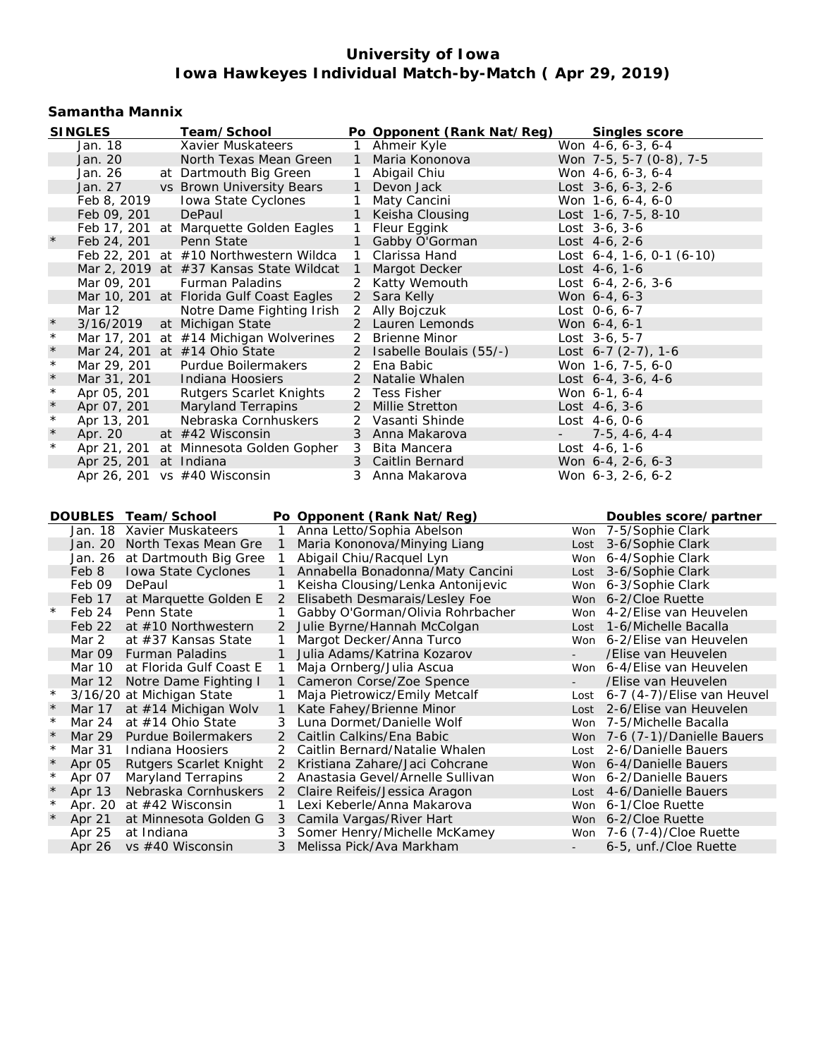#### **Samantha Mannix**

|            | SINGLES             |            | Team/School                                |                |                      | Po Opponent (Rank Nat/Reg)        |                     | Singles score                       |
|------------|---------------------|------------|--------------------------------------------|----------------|----------------------|-----------------------------------|---------------------|-------------------------------------|
|            | Jan. 18             |            | Xavier Muskateers                          |                |                      | 1 Ahmeir Kyle                     |                     | Won 4-6, 6-3, 6-4                   |
|            | Jan. 20             |            | North Texas Mean Green                     |                | $\mathbf{1}$         | Maria Kononova                    |                     | Won 7-5, 5-7 (0-8), 7-5             |
|            | Jan. 26             |            | at Dartmouth Big Green                     |                | 1                    | Abigail Chiu                      |                     | Won 4-6, 6-3, 6-4                   |
|            | Jan. 27             |            | vs Brown University Bears                  |                | $\mathbf{1}$         | Devon Jack                        |                     | Lost 3-6, 6-3, 2-6                  |
|            | Feb 8, 2019         |            | Iowa State Cyclones                        |                | 1                    | Maty Cancini                      |                     | Won 1-6, 6-4, 6-0                   |
|            | Feb 09, 201         |            | DePaul                                     |                | $\mathbf{1}$         | Keisha Clousing                   |                     | Lost $1-6$ , $7-5$ , $8-10$         |
|            |                     |            | Feb 17, 201 at Marquette Golden Eagles     |                | 1                    | Fleur Eggink                      | Lost $3-6, 3-6$     |                                     |
| $\star$    | Feb 24, 201         |            | Penn State                                 |                | 1                    | Gabby O'Gorman                    | Lost 4-6, 2-6       |                                     |
|            |                     |            | Feb 22, 201 at #10 Northwestern Wildca     |                | 1                    | Clarissa Hand                     |                     | Lost $6-4$ , $1-6$ , $0-1$ $(6-10)$ |
|            |                     |            | Mar 2, 2019 at #37 Kansas State Wildcat    |                | $\overline{1}$       | Margot Decker                     | Lost 4-6, 1-6       |                                     |
|            | Mar 09, 201         |            | <b>Furman Paladins</b>                     |                | 2                    | Katty Wemouth                     |                     | Lost $6-4$ , $2-6$ , $3-6$          |
|            |                     |            | Mar 10, 201 at Florida Gulf Coast Eagles   |                |                      | 2 Sara Kelly                      | Won $6-4, 6-3$      |                                     |
|            | Mar 12              |            | Notre Dame Fighting Irish                  |                |                      | 2 Ally Bojczuk                    | $Cost$ 0-6, 6-7     |                                     |
| $\star$    | 3/16/2019           |            | at Michigan State                          |                |                      | 2 Lauren Lemonds                  | Won 6-4, 6-1        |                                     |
| $\star$    |                     |            | Mar 17, 201 at #14 Michigan Wolverines     |                | $\mathbf{2}^{\circ}$ | <b>Brienne Minor</b>              | Lost $3-6, 5-7$     |                                     |
| $\star$    |                     |            | Mar 24, 201 at #14 Ohio State              |                |                      | 2 Isabelle Boulais (55/-)         |                     | Lost $6-7$ $(2-7)$ , $1-6$          |
| $^{\star}$ | Mar 29, 201         |            | Purdue Boilermakers                        |                |                      | 2 Ena Babic                       |                     | Won 1-6, 7-5, 6-0                   |
| $\star$    | Mar 31, 201         |            | Indiana Hoosiers                           |                |                      | 2 Natalie Whalen                  |                     | Lost $6-4$ , $3-6$ , $4-6$          |
| $\star$    | Apr 05, 201         |            | <b>Rutgers Scarlet Knights</b>             |                |                      | 2 Tess Fisher                     | Won 6-1, 6-4        |                                     |
| $\star$    | Apr 07, 201         |            | Maryland Terrapins                         |                |                      | 2 Millie Stretton                 | Lost 4-6, 3-6       |                                     |
| $^\star$   | Apr 13, 201         |            | Nebraska Cornhuskers                       |                |                      | 2 Vasanti Shinde                  | Lost $4-6, 0-6$     |                                     |
| $\star$    | Apr. 20             |            | at #42 Wisconsin                           |                |                      | 3 Anna Makarova                   |                     | $7-5, 4-6, 4-4$                     |
| $\star$    |                     |            | Apr 21, 201 at Minnesota Golden Gopher     |                | 3                    | Bita Mancera                      | Lost $4-6, 1-6$     |                                     |
|            |                     |            | Apr 25, 201 at Indiana                     |                | $\mathcal{S}$        | <b>Caitlin Bernard</b>            |                     | Won 6-4, 2-6, 6-3                   |
|            |                     |            | Apr 26, 201 vs #40 Wisconsin               |                |                      | 3 Anna Makarova                   |                     | Won 6-3, 2-6, 6-2                   |
|            |                     |            |                                            |                |                      |                                   |                     |                                     |
|            | DOUBLES Team/School |            |                                            |                |                      | Po Opponent (Rank Nat/Reg)        |                     | Doubles score/partner               |
|            |                     |            | Jan. 18 Xavier Muskateers                  |                |                      | 1 Anna Letto/Sophia Abelson       |                     | Won 7-5/Sophie Clark                |
|            |                     |            | Jan. 20 North Texas Mean Gre               | $\mathbf{1}$   |                      | Maria Kononova/Minying Liang      |                     | Lost 3-6/Sophie Clark               |
|            |                     |            | Jan. 26 at Dartmouth Big Gree              | 1.             |                      | Abigail Chiu/Racquel Lyn          |                     | Won 6-4/Sophie Clark                |
|            | Feb 8               |            | Iowa State Cyclones                        | $\mathbf{1}$   |                      | Annabella Bonadonna/Maty Cancini  |                     | Lost 3-6/Sophie Clark               |
|            | Feb 09              | DePaul     |                                            | 1              |                      | Keisha Clousing/Lenka Antonijevic |                     | Won 6-3/Sophie Clark                |
|            | Feb 17              |            | at Marquette Golden E                      |                |                      | 2 Elisabeth Desmarais/Lesley Foe  |                     | Won 6-2/Cloe Ruette                 |
| $^{\star}$ | Feb 24              | Penn State |                                            | 1.             |                      | Gabby O'Gorman/Olivia Rohrbacher  |                     | Won 4-2/Elise van Heuvelen          |
|            | Feb 22              |            | at #10 Northwestern                        |                |                      | 2 Julie Byrne/Hannah McColgan     |                     | Lost 1-6/Michelle Bacalla           |
|            | Mar 2               |            | at #37 Kansas State                        | 1.             |                      | Margot Decker/Anna Turco          |                     | Won 6-2/Elise van Heuvelen          |
|            | Mar 09              |            | <b>Furman Paladins</b>                     | $\mathbf{1}$   |                      | Julia Adams/Katrina Kozarov       | $\sim$              | /Elise van Heuvelen                 |
|            | Mar 10              |            | at Florida Gulf Coast E                    | 1              |                      | Maja Ornberg/Julia Ascua          |                     | Won 6-4/Elise van Heuvelen          |
|            | Mar 12              |            | Notre Dame Fighting I                      | $\mathbf{1}$   |                      | Cameron Corse/Zoe Spence          | $\omega_{\rm{eff}}$ | /Elise van Heuvelen                 |
| $\star$    |                     |            | 3/16/20 at Michigan State                  | 1              |                      | Maja Pietrowicz/Emily Metcalf     |                     | Lost 6-7 (4-7)/Elise van Heuvel     |
| $\star$    |                     |            | Mar 17 at $#14$ Michigan Wolv              | $\mathbf{1}$   |                      | Kate Fahey/Brienne Minor          |                     | Lost 2-6/Elise van Heuvelen         |
|            |                     |            | Mar 24 at #14 Ohio State                   |                |                      | 3 Luna Dormet/Danielle Wolf       |                     | Won 7-5/Michelle Bacalla            |
|            | Mar 29              |            | Purdue Boilermakers                        | 2              |                      | Caitlin Calkins/Ena Babic         |                     | Won 7-6 (7-1)/Danielle Bauers       |
| $^\star$   | Mar 31              |            | Indiana Hoosiers                           | 2.             |                      | Caitlin Bernard/Natalie Whalen    | Lost                | 2-6/Danielle Bauers                 |
|            | Apr 05              |            | Rutgers Scarlet Knight                     | $\overline{2}$ |                      | Kristiana Zahare/Jaci Cohcrane    | Won                 | 6-4/Danielle Bauers                 |
| $^\star$   | Apr 07              |            | Maryland Terrapins                         | 2              |                      | Anastasia Gevel/Arnelle Sullivan  | Won                 | 6-2/Danielle Bauers                 |
| $\star$    | Apr 13              |            |                                            | $\overline{2}$ |                      | Claire Reifeis/Jessica Aragon     | Lost                | 4-6/Danielle Bauers                 |
| $^\star$   | Apr. 20             |            | Nebraska Cornhuskers<br>at $#42$ Wisconsin | 1              |                      | Lexi Keberle/Anna Makarova        | Won                 | 6-1/Cloe Ruette                     |
| $\star$    | Apr 21              |            | at Minnesota Golden G                      | 3              |                      | Camila Vargas/River Hart          | Won                 | 6-2/Cloe Ruette                     |
|            | Apr 25              | at Indiana |                                            | 3              |                      | Somer Henry/Michelle McKamey      | Won                 | 7-6 (7-4)/Cloe Ruette               |